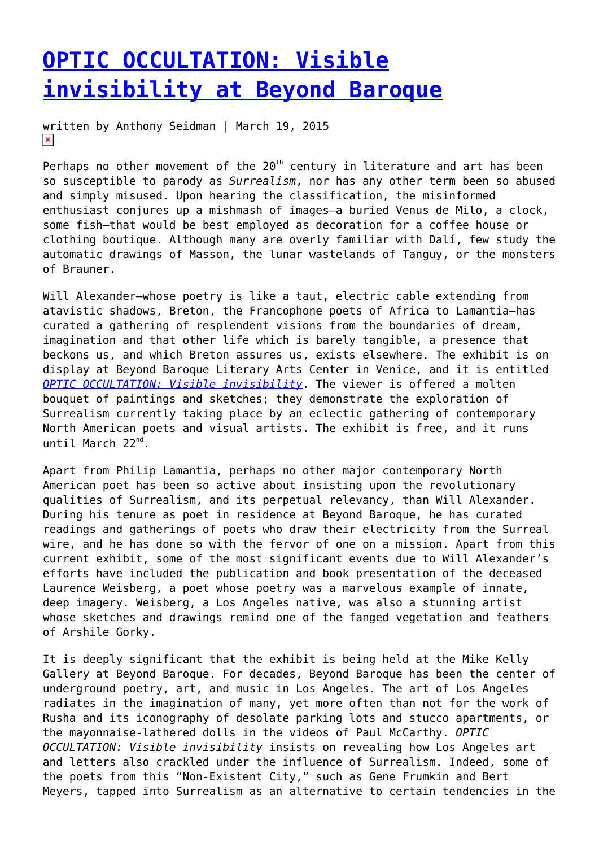## **[OPTIC OCCULTATION: Visible](https://entropymag.org/optic-occultation-visible-invisibility-at-beyond-baroque/) [invisibility at Beyond Baroque](https://entropymag.org/optic-occultation-visible-invisibility-at-beyond-baroque/)**

written by Anthony Seidman | March 19, 2015  $\pmb{\times}$ 

Perhaps no other movement of the  $20<sup>th</sup>$  century in literature and art has been so susceptible to parody as *Surrealism*, nor has any other term been so abused and simply misused. Upon hearing the classification, the misinformed enthusiast conjures up a mishmash of images—a buried Venus de Milo, a clock, some fish—that would be best employed as decoration for a coffee house or clothing boutique. Although many are overly familiar with Dalí, few study the automatic drawings of Masson, the lunar wastelands of Tanguy, or the monsters of Brauner.

Will Alexander-whose poetry is like a taut, electric cable extending from atavistic shadows, Breton, the Francophone poets of Africa to Lamantia—has curated a gathering of resplendent visions from the boundaries of dream, imagination and that other life which is barely tangible, a presence that beckons us, and which Breton assures us, exists elsewhere. The exhibit is on display at Beyond Baroque Literary Arts Center in Venice, and it is entitled *[OPTIC OCCULTATION: Visible invisibility](http://beyondbaroque.org/gallery.html)*. The viewer is offered a molten bouquet of paintings and sketches; they demonstrate the exploration of Surrealism currently taking place by an eclectic gathering of contemporary North American poets and visual artists. The exhibit is free, and it runs until March 22<sup>nd</sup>.

Apart from Philip Lamantia, perhaps no other major contemporary North American poet has been so active about insisting upon the revolutionary qualities of Surrealism, and its perpetual relevancy, than Will Alexander. During his tenure as poet in residence at Beyond Baroque, he has curated readings and gatherings of poets who draw their electricity from the Surreal wire, and he has done so with the fervor of one on a mission. Apart from this current exhibit, some of the most significant events due to Will Alexander's efforts have included the publication and book presentation of the deceased Laurence Weisberg, a poet whose poetry was a marvelous example of innate, deep imagery. Weisberg, a Los Angeles native, was also a stunning artist whose sketches and drawings remind one of the fanged vegetation and feathers of Arshile Gorky.

It is deeply significant that the exhibit is being held at the Mike Kelly Gallery at Beyond Baroque. For decades, Beyond Baroque has been the center of underground poetry, art, and music in Los Angeles. The art of Los Angeles radiates in the imagination of many, yet more often than not for the work of Rusha and its iconography of desolate parking lots and stucco apartments, or the mayonnaise-lathered dolls in the videos of Paul McCarthy. *OPTIC OCCULTATION: Visible invisibility* insists on revealing how Los Angeles art and letters also crackled under the influence of Surrealism. Indeed, some of the poets from this "Non-Existent City," such as Gene Frumkin and Bert Meyers, tapped into Surrealism as an alternative to certain tendencies in the